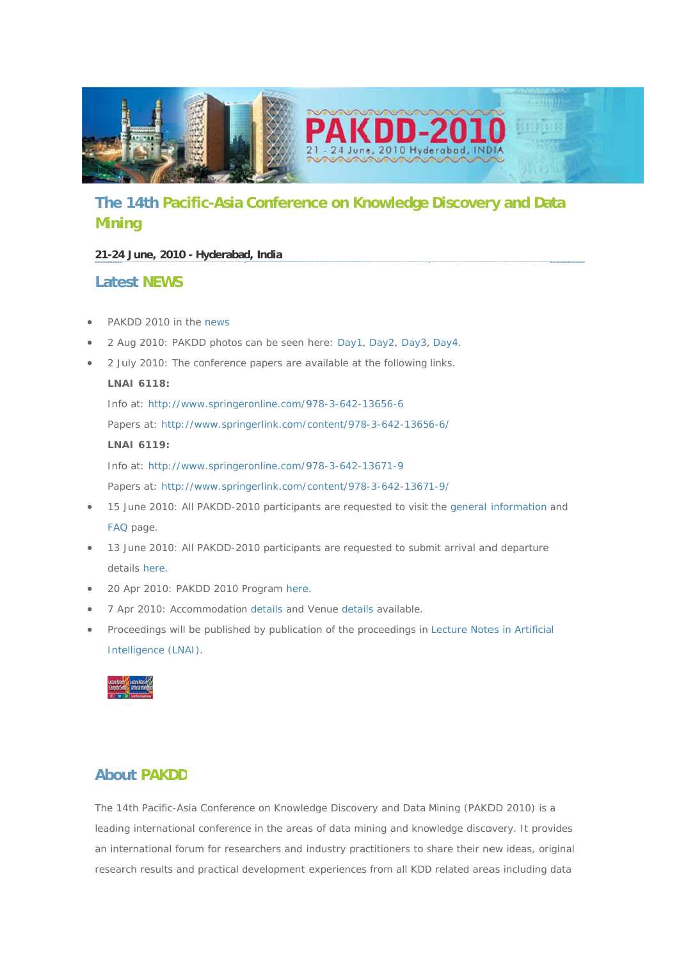

# The 14th Pacific-Asia Conference on Knowledge Discovery and Data **Mining**

## 21-24 June, 2010 - Hyderabad, India

# **Latest NFWS**

- PAKDD 2010 in the news
- 2 Aug 2010: PAKDD photos can be seen here: Day1, Day2, Day3, Day4.
- 2 July 2010: The conference papers are available at the following links.

### LNAI 6118:

Info at: http://www.springeronline.com/978-3-642-13656-6 Papers at: http://www.springerlink.com/content/978-3-642-13656-6/ LNAI 6119: Info at: http://www.springeronline.com/978-3-642-13671-9

Papers at: http://www.springerlink.com/content/978-3-642-13671-9/

- 15 June 2010: All PAKDD-2010 participants are requested to visit the general information and FAQ page.
- 13 June 2010: All PAKDD-2010 participants are requested to submit arrival and departure details here.
- 20 Apr 2010: PAKDD 2010 Program here.
- 7 Apr 2010: Accommodation details and Venue details available.
- Proceedings will be published by publication of the proceedings in Lecture Notes in Artificial Intelligence (LNAI).



# **About PAKDD**

The 14th Pacific-Asia Conference on Knowledge Discovery and Data Mining (PAKDD 2010) is a leading international conference in the areas of data mining and knowledge discovery. It provides an international forum for researchers and industry practitioners to share their new ideas, original research results and practical development experiences from all KDD related areas including data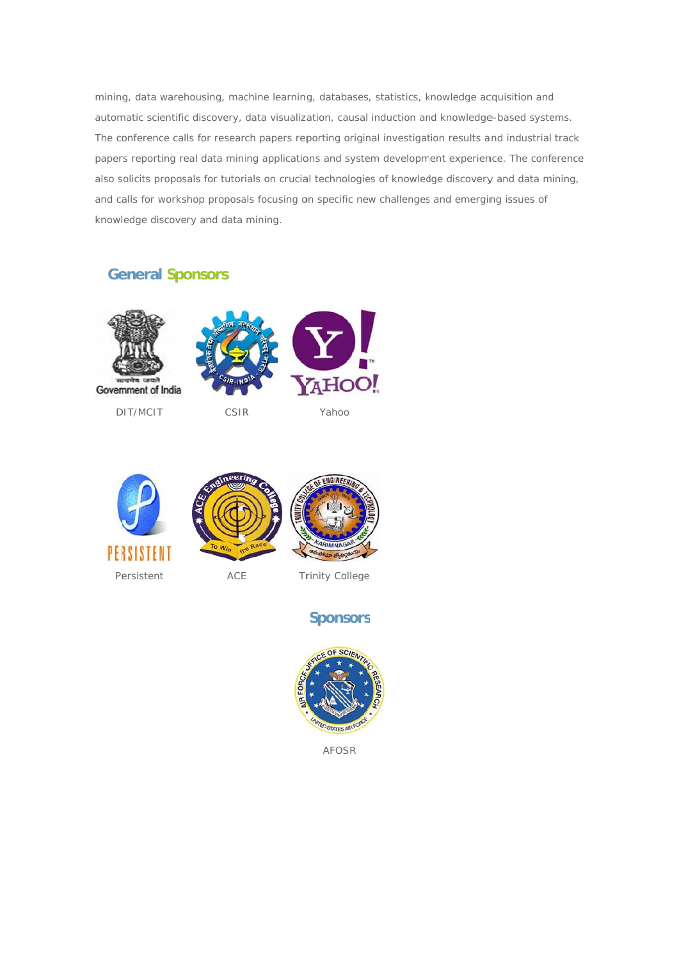mining, data warehousing, machine learning, databases, statistics, knowledge acquisition and automatic scientific discovery, data visualization, causal induction and knowledge-based systems. The conference calls for research papers reporting original investigation results and industrial track papers reporting real data mining applications and system development experience. The conference also solicits proposals for tutorials on crucial technologies of knowledge discovery and data mining, and calls for workshop proposals focusing on specific new challenges and emerging issues of knowledge discovery and data mining.

# **General Sponsors**





### Persistent

ACE

**Trinity College** 

# **Sponsors**



**AFOSR**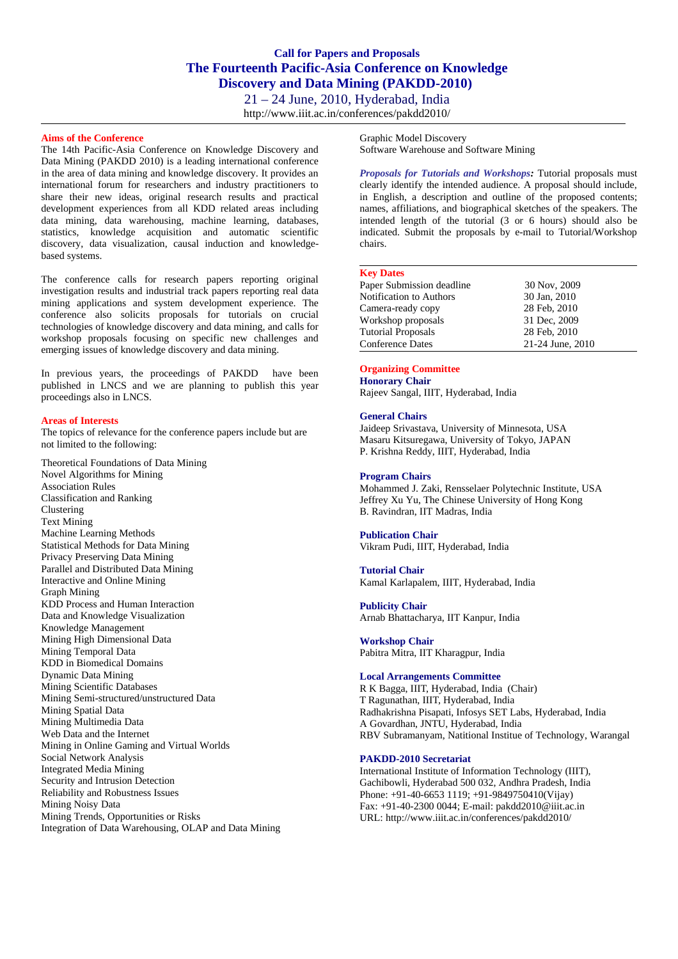21 – 24 June, 2010, Hyderabad, India <http://www.iiit.ac.in/conferences/pakdd2010/>

#### **Aims of the Conference**

The 14th Pacific-Asia Conference on Knowledge Discovery and Data Mining (PAKDD 2010) is a leading international conference in the area of data mining and knowledge discovery. It provides an international forum for researchers and industry practitioners to share their new ideas, original research results and practical development experiences from all KDD related areas including data mining, data warehousing, machine learning, databases, statistics, knowledge acquisition and automatic scientific discovery, data visualization, causal induction and knowledgebased systems.

The conference calls for research papers reporting original investigation results and industrial track papers reporting real data mining applications and system development experience. The conference also solicits proposals for tutorials on crucial technologies of knowledge discovery and data mining, and calls for workshop proposals focusing on specific new challenges and emerging issues of knowledge discovery and data mining.

In previous years, the proceedings of PAKDD have been published in LNCS and we are planning to publish this year proceedings also in LNCS.

#### **Areas of Interests**

The topics of relevance for the conference papers include but are not limited to the following:

Theoretical Foundations of Data Mining Novel Algorithms for Mining Association Rules Classification and Ranking Clustering Text Mining Machine Learning Methods Statistical Methods for Data Mining Privacy Preserving Data Mining Parallel and Distributed Data Mining Interactive and Online Mining Graph Mining KDD Process and Human Interaction Data and Knowledge Visualization Knowledge Management Mining High Dimensional Data Mining Temporal Data KDD in Biomedical Domains Dynamic Data Mining Mining Scientific Databases Mining Semi-structured/unstructured Data Mining Spatial Data Mining Multimedia Data Web Data and the Internet Mining in Online Gaming and Virtual Worlds Social Network Analysis Integrated Media Mining Security and Intrusion Detection Reliability and Robustness Issues Mining Noisy Data Mining Trends, Opportunities or Risks Integration of Data Warehousing, OLAP and Data Mining Graphic Model Discovery Software Warehouse and Software Mining

*Proposals for Tutorials and Workshops:* Tutorial proposals must clearly identify the intended audience. A proposal should include, in English, a description and outline of the proposed contents; names, affiliations, and biographical sketches of the speakers. The intended length of the tutorial (3 or 6 hours) should also be indicated. Submit the proposals by e-mail to Tutorial/Workshop chairs.

#### **Key Dates**

| Paper Submission deadline | 30 Nov, 2009     |
|---------------------------|------------------|
| Notification to Authors   | 30 Jan, 2010     |
| Camera-ready copy         | 28 Feb. 2010     |
| Workshop proposals        | 31 Dec, 2009     |
| <b>Tutorial Proposals</b> | 28 Feb. 2010     |
| Conference Dates          | 21-24 June, 2010 |
|                           |                  |

#### **Organizing Committee**

**Honorary Chair** Rajeev Sangal, IIIT, Hyderabad, India

#### **General Chairs**

Jaideep Srivastava, University of Minnesota, USA Masaru Kitsuregawa, University of Tokyo, JAPAN P. Krishna Reddy, IIIT, Hyderabad, India

#### **Program Chairs**

Mohammed J. Zaki, Rensselaer Polytechnic Institute, USA Jeffrey Xu Yu, The Chinese University of Hong Kong B. Ravindran, IIT Madras, India

#### **Publication Chair**

Vikram Pudi, IIIT, Hyderabad, India

#### **Tutorial Chair**

Kamal Karlapalem, IIIT, Hyderabad, India

#### **Publicity Chair**

Arnab Bhattacharya, IIT Kanpur, India

#### **Workshop Chair** Pabitra Mitra, IIT Kharagpur, India

### **Local Arrangements Committee**

R K Bagga, IIIT, Hyderabad, India (Chair) T Ragunathan, IIIT, Hyderabad, India Radhakrishna Pisapati, Infosys SET Labs, Hyderabad, India A Govardhan, JNTU, Hyderabad, India RBV Subramanyam, Natitional Institue of Technology, Warangal

#### **PAKDD-2010 Secretariat**

International Institute of Information Technology (IIIT), Gachibowli, Hyderabad 500 032, Andhra Pradesh, India Phone: +91-40-6653 1119; +91-9849750410(Vijay) Fax: +91-40-2300 0044; E-mail: [pakdd2010@iiit.ac.in](mailto:pakdd2010@iiit.ac.in) URL: http:/[/www.iiit.ac.in/conferences/pakdd2010/](http://www.iiit.ac.in/conferences/pakdd2010/)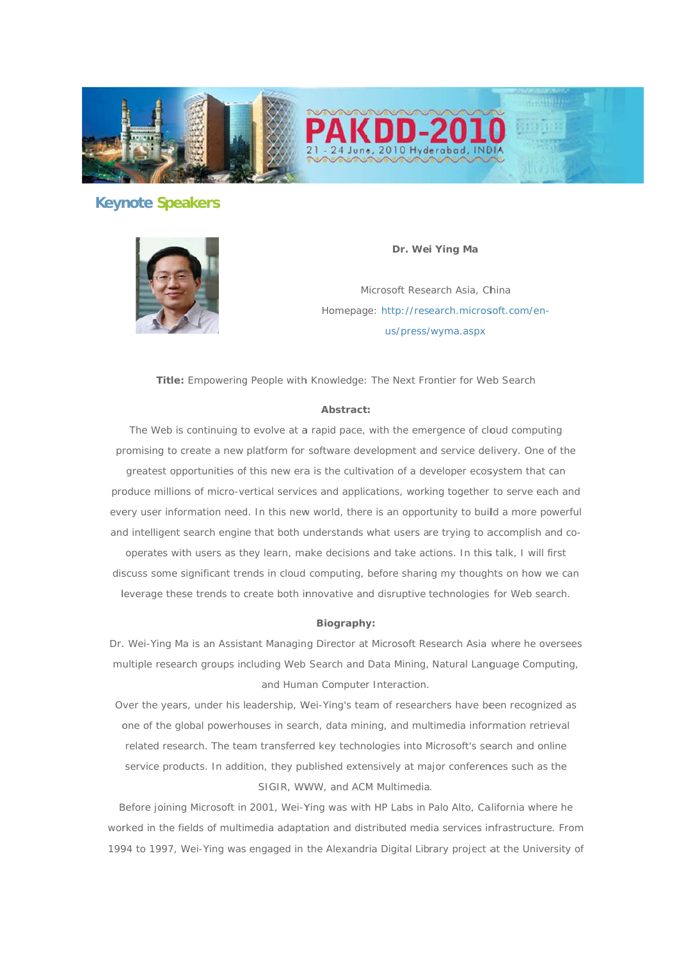

# **Keynote Speakers**



Dr. Wei Ying Ma

Microsoft Research Asia, China Homepage: http://research.microsoft.com/enus/press/wyma.aspx

Title: Empowering People with Knowledge: The Next Frontier for Web Search

#### Abstract:

The Web is continuing to evolve at a rapid pace, with the emergence of cloud computing promising to create a new platform for software development and service delivery. One of the greatest opportunities of this new era is the cultivation of a developer ecosystem that can produce millions of micro-vertical services and applications, working together to serve each and every user information need. In this new world, there is an opportunity to build a more powerful and intelligent search engine that both understands what users are trying to accomplish and co-

operates with users as they learn, make decisions and take actions. In this talk, I will first discuss some significant trends in cloud computing, before sharing my thoughts on how we can leverage these trends to create both innovative and disruptive technologies for Web search.

#### Biography:

Dr. Wei-Ying Ma is an Assistant Managing Director at Microsoft Research Asia where he oversees multiple research groups including Web Search and Data Mining, Natural Language Computing, and Human Computer Interaction.

Over the years, under his leadership, Wei-Ying's team of researchers have been recognized as one of the global powerhouses in search, data mining, and multimedia information retrieval related research. The team transferred key technologies into Microsoft's search and online service products. In addition, they published extensively at major conferences such as the SIGIR, WWW, and ACM Multimedia.

Before joining Microsoft in 2001, Wei-Ying was with HP Labs in Palo Alto, California where he worked in the fields of multimedia adaptation and distributed media services infrastructure. From 1994 to 1997, Wei-Ying was engaged in the Alexandria Digital Library project at the University of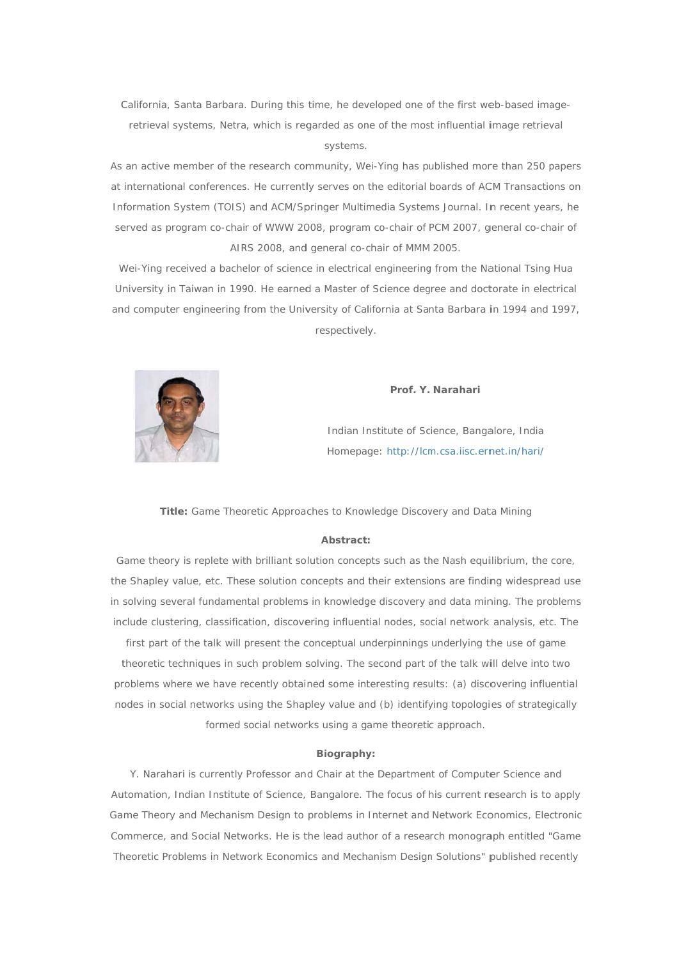California, Santa Barbara. During this time, he developed one of the first web-based imageretrieval systems, Netra, which is regarded as one of the most influential image retrieval systems.

As an active member of the research community, Wei-Ying has published more than 250 papers at international conferences. He currently serves on the editorial boards of ACM Transactions on Information System (TOIS) and ACM/Springer Multimedia Systems Journal. In recent years, he served as program co-chair of WWW 2008, program co-chair of PCM 2007, general co-chair of AIRS 2008, and general co-chair of MMM 2005.

Wei-Ying received a bachelor of science in electrical engineering from the National Tsing Hua University in Taiwan in 1990. He earned a Master of Science degree and doctorate in electrical and computer engineering from the University of California at Santa Barbara in 1994 and 1997, respectively.



#### Prof. Y. Narahari

Indian Institute of Science, Bangalore, India Homepage: http://lcm.csa.iisc.ernet.in/hari/

Title: Game Theoretic Approaches to Knowledge Discovery and Data Mining

#### Abstract:

Game theory is replete with brilliant solution concepts such as the Nash equilibrium, the core, the Shapley value, etc. These solution concepts and their extensions are finding widespread use in solving several fundamental problems in knowledge discovery and data mining. The problems include clustering, classification, discovering influential nodes, social network analysis, etc. The

first part of the talk will present the conceptual underpinnings underlying the use of game theoretic techniques in such problem solving. The second part of the talk will delve into two problems where we have recently obtained some interesting results: (a) discovering influential nodes in social networks using the Shapley value and (b) identifying topologies of strategically formed social networks using a game theoretic approach.

#### Biography:

Y. Narahari is currently Professor and Chair at the Department of Computer Science and Automation, Indian Institute of Science, Bangalore. The focus of his current research is to apply Game Theory and Mechanism Design to problems in Internet and Network Economics, Electronic Commerce, and Social Networks. He is the lead author of a research monograph entitled "Game Theoretic Problems in Network Economics and Mechanism Design Solutions" published recently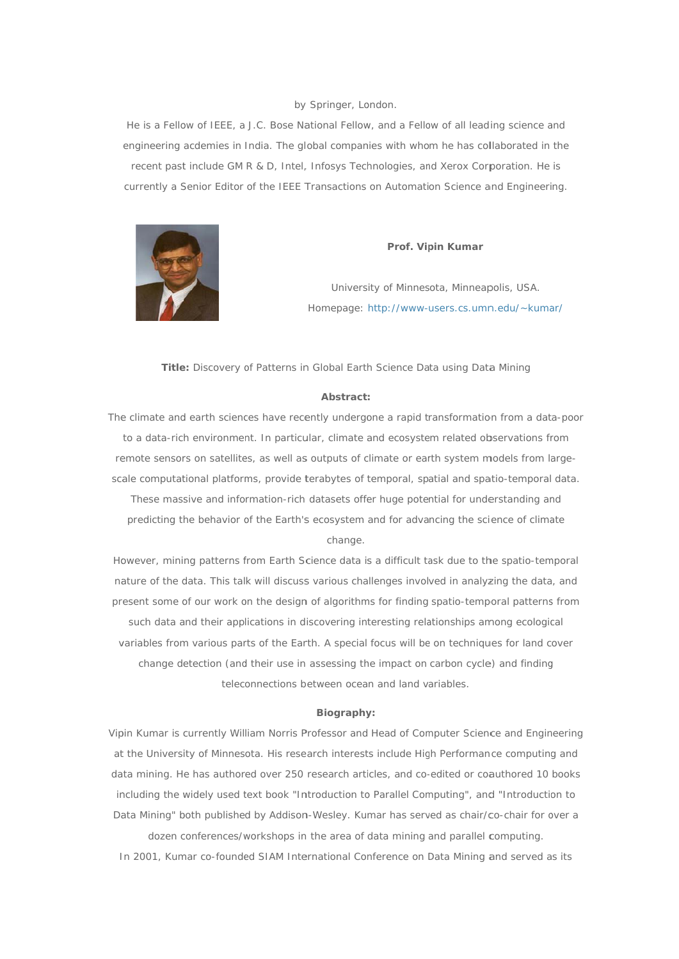#### by Springer, London.

He is a Fellow of IEEE, a J.C. Bose National Fellow, and a Fellow of all leading science and engineering acdemies in India. The global companies with whom he has collaborated in the recent past include GM R & D, Intel, Infosys Technologies, and Xerox Corporation. He is currently a Senior Editor of the IEEE Transactions on Automation Science and Engineering.



#### Prof. Vipin Kumar

University of Minnesota, Minneapolis, USA. Homepage: http://www-users.cs.umn.edu/~kumar/

Title: Discovery of Patterns in Global Earth Science Data using Data Mining

### Abstract:

The climate and earth sciences have recently undergone a rapid transformation from a data-poor to a data-rich environment. In particular, climate and ecosystem related observations from remote sensors on satellites, as well as outputs of climate or earth system models from largescale computational platforms, provide terabytes of temporal, spatial and spatio-temporal data. These massive and information-rich datasets offer huge potential for understanding and predicting the behavior of the Earth's ecosystem and for advancing the science of climate change.

However, mining patterns from Earth Science data is a difficult task due to the spatio-temporal nature of the data. This talk will discuss various challenges involved in analyzing the data, and present some of our work on the design of algorithms for finding spatio-temporal patterns from such data and their applications in discovering interesting relationships among ecological variables from various parts of the Earth. A special focus will be on techniques for land cover change detection (and their use in assessing the impact on carbon cycle) and finding teleconnections between ocean and land variables.

#### Biography:

Vipin Kumar is currently William Norris Professor and Head of Computer Science and Engineering at the University of Minnesota. His research interests include High Performance computing and data mining. He has authored over 250 research articles, and co-edited or coauthored 10 books including the widely used text book "Introduction to Parallel Computing", and "Introduction to Data Mining" both published by Addison-Wesley. Kumar has served as chair/co-chair for over a dozen conferences/workshops in the area of data mining and parallel computing.

In 2001, Kumar co-founded SIAM International Conference on Data Mining and served as its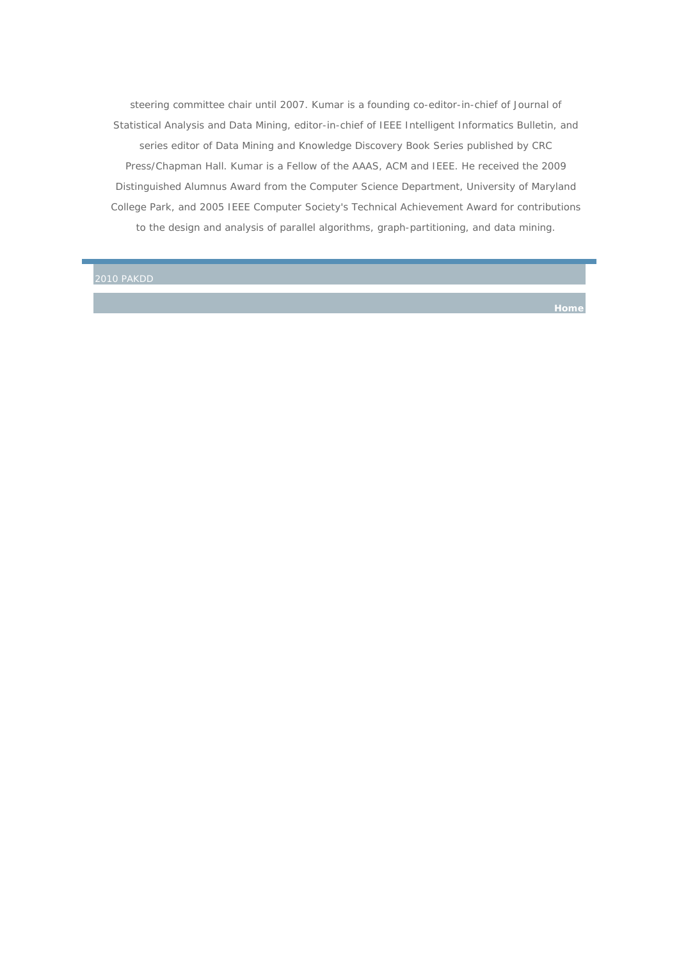steering committee chair until 2007. Kumar is a founding co-editor-in-chief of Journal of Statistical Analysis and Data Mining, editor-in-chief of IEEE Intelligent Informatics Bulletin, and series editor of Data Mining and Knowledge Discovery Book Series published by CRC Press/Chapman Hall. Kumar is a Fellow of the AAAS, ACM and IEEE. He received the 2009 Distinguished Alumnus Award from the Computer Science Department, University of Maryland College Park, and 2005 IEEE Computer Society's Technical Achievement Award for contributions to the design and analysis of parallel algorithms, graph-partitioning, and data mining.

2010 PAKDD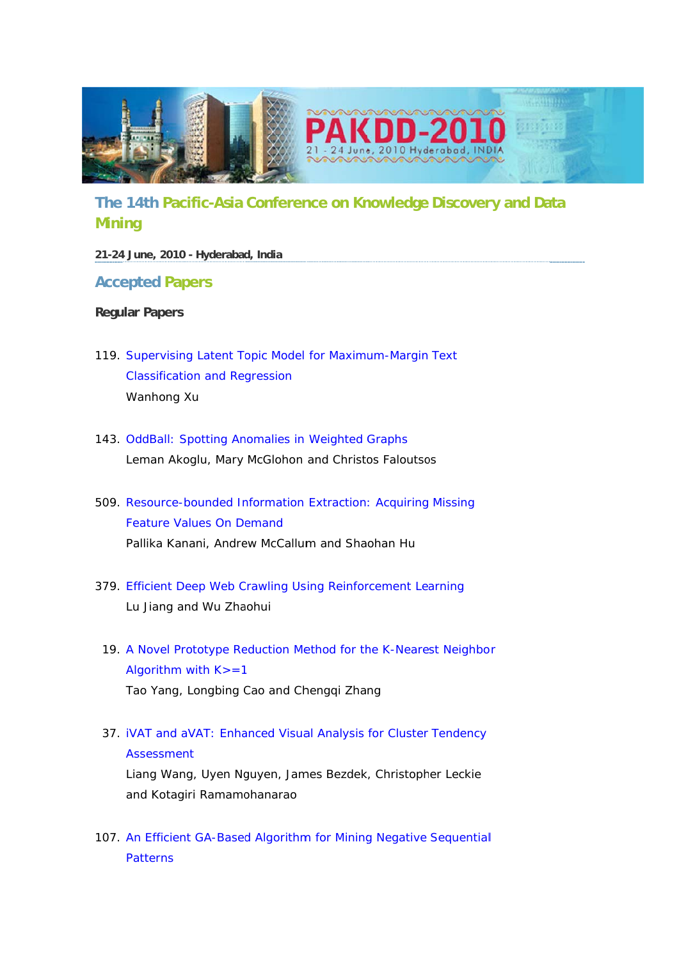

# The 14th Pacific-Asia Conference on Knowledge Discovery and Data **Mining**

# 21-24 June, 2010 - Hyderabad, India

# **Accepted Papers**

# **Regular Papers**

- 119. Supervising Latent Topic Model for Maximum-Margin Text **Classification and Regression** Wanhong Xu
- 143. OddBall: Spotting Anomalies in Weighted Graphs Leman Akoglu, Mary McGlohon and Christos Faloutsos
- 509. Resource-bounded Information Extraction: Acquiring Missing **Feature Values On Demand** Pallika Kanani, Andrew McCallum and Shaohan Hu
- 379. Efficient Deep Web Crawling Using Reinforcement Learning Lu Jiang and Wu Zhaohui
- 19. A Novel Prototype Reduction Method for the K-Nearest Neighbor Algorithm with  $K = 1$ Tao Yang, Longbing Cao and Chengqi Zhang
- 37. IVAT and aVAT: Enhanced Visual Analysis for Cluster Tendency **Assessment** Liang Wang, Uyen Nguyen, James Bezdek, Christopher Leckie and Kotagiri Ramamohanarao
- 107. An Efficient GA-Based Algorithm for Mining Negative Sequential **Patterns**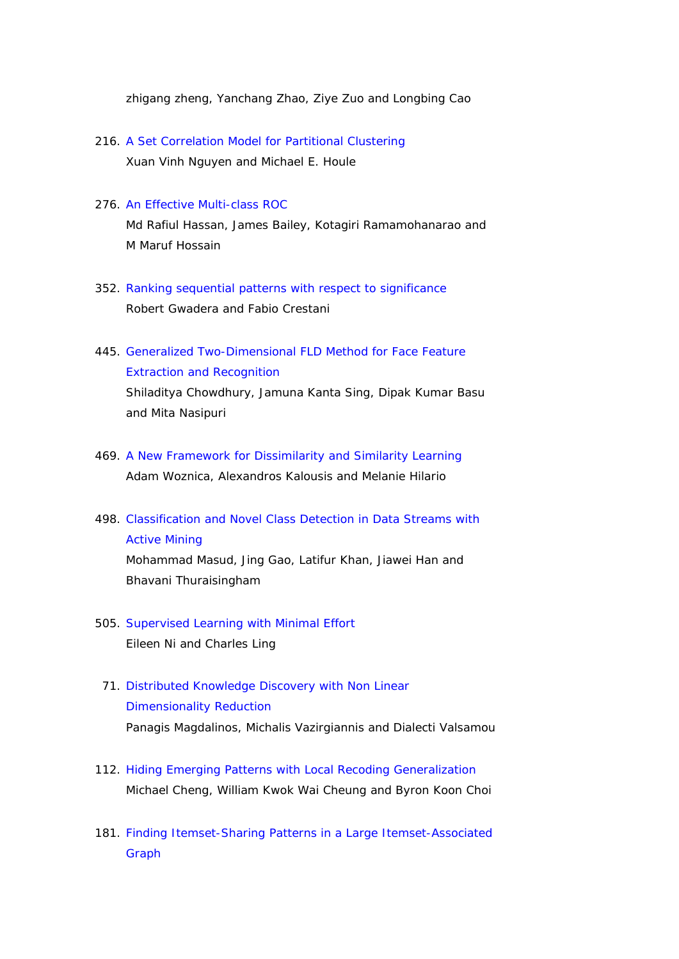zhigang zheng, Yanchang Zhao, Ziye Zuo and Longbing Cao

216. A Set Correlation Model for Partitional Clustering Xuan Vinh Nguyen and Michael E. Houle

### 276. An Effective Multi-class ROC

Md Rafiul Hassan, James Bailey, Kotagiri Ramamohanarao and M Maruf Hossain

- 352. Ranking sequential patterns with respect to significance Robert Gwadera and Fabio Crestani
- 445. Generalized Two-Dimensional FLD Method for Face Feature Extraction and Recognition Shiladitya Chowdhury, Jamuna Kanta Sing, Dipak Kumar Basu and Mita Nasipuri
- 469. A New Framework for Dissimilarity and Similarity Learning Adam Woznica, Alexandros Kalousis and Melanie Hilario
- 498. Classification and Novel Class Detection in Data Streams with Active Mining Mohammad Masud, Jing Gao, Latifur Khan, Jiawei Han and Bhavani Thuraisingham
- 505. Supervised Learning with Minimal Effort Eileen Ni and Charles Ling
- 71. Distributed Knowledge Discovery with Non Linear Dimensionality Reduction Panagis Magdalinos, Michalis Vazirgiannis and Dialecti Valsamou
- 112. Hiding Emerging Patterns with Local Recoding Generalization Michael Cheng, William Kwok Wai Cheung and Byron Koon Choi
- 181. Finding Itemset-Sharing Patterns in a Large Itemset-Associated Graph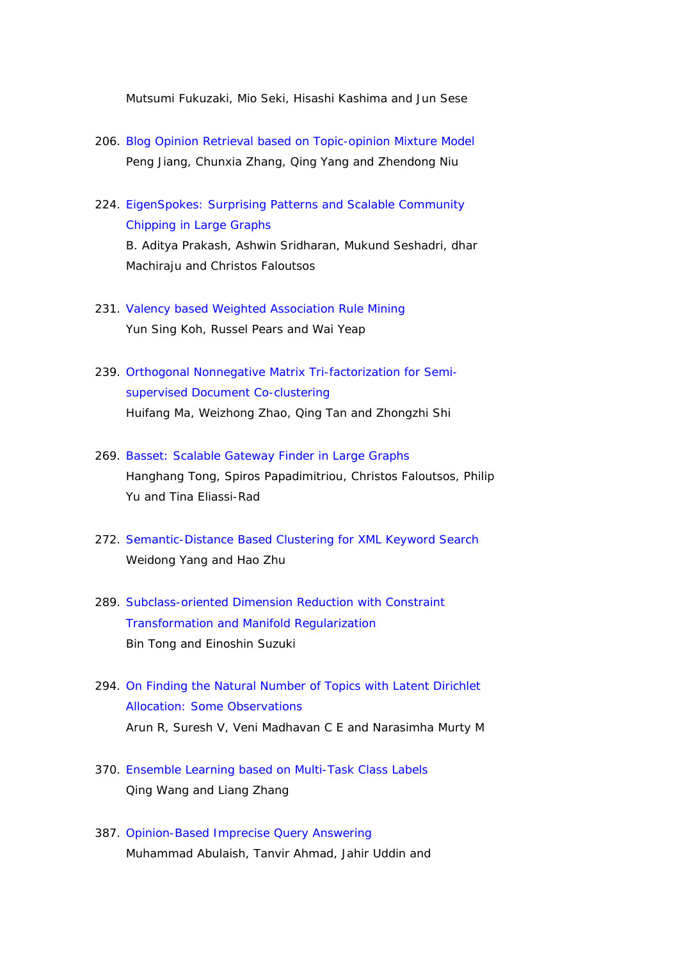Mutsumi Fukuzaki, Mio Seki, Hisashi Kashima and Jun Sese

- 206. Blog Opinion Retrieval based on Topic-opinion Mixture Model Peng Jiang, Chunxia Zhang, Qing Yang and Zhendong Niu
- 224. EigenSpokes: Surprising Patterns and Scalable Community Chipping in Large Graphs B. Aditya Prakash, Ashwin Sridharan, Mukund Seshadri, dhar Machiraju and Christos Faloutsos
- 231. Valency based Weighted Association Rule Mining Yun Sing Koh, Russel Pears and Wai Yeap
- 239. Orthogonal Nonnegative Matrix Tri-factorization for Semisupervised Document Co-clustering Huifang Ma, Weizhong Zhao, Qing Tan and Zhongzhi Shi
- 269. Basset: Scalable Gateway Finder in Large Graphs Hanghang Tong, Spiros Papadimitriou, Christos Faloutsos, Philip Yu and Tina Eliassi-Rad
- 272. Semantic-Distance Based Clustering for XML Keyword Search Weidong Yang and Hao Zhu
- 289. Subclass-oriented Dimension Reduction with Constraint Transformation and Manifold Regularization Bin Tong and Einoshin Suzuki
- 294. On Finding the Natural Number of Topics with Latent Dirichlet Allocation: Some Observations Arun R, Suresh V, Veni Madhavan C E and Narasimha Murty M
- 370. Ensemble Learning based on Multi-Task Class Labels Qing Wang and Liang Zhang
- 387. Opinion-Based Imprecise Query Answering Muhammad Abulaish, Tanvir Ahmad, Jahir Uddin and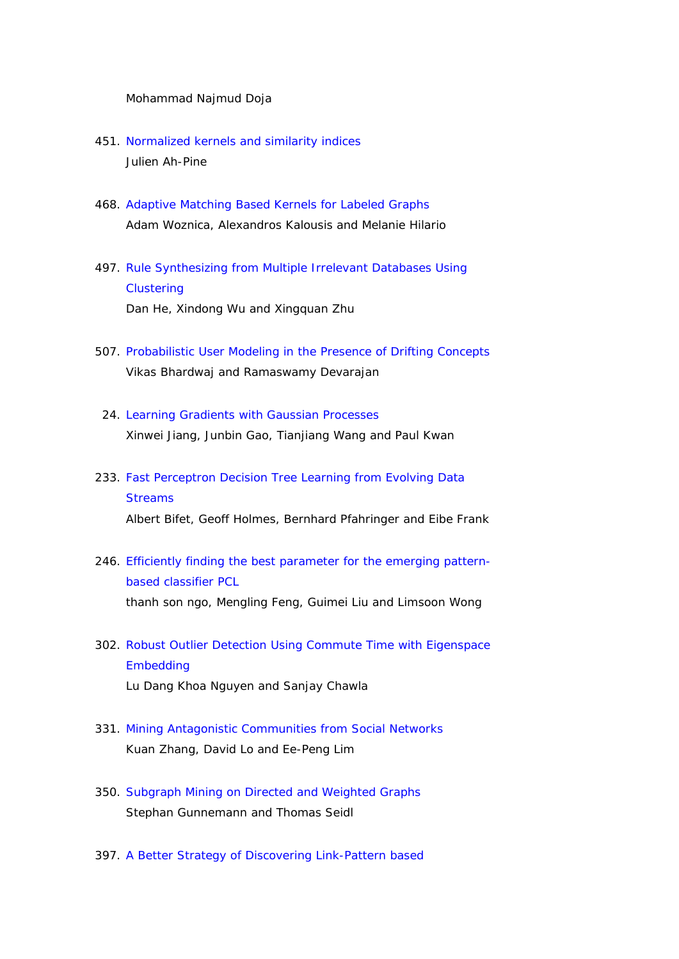### Mohammad Najmud Doja

- 451. Normalized kernels and similarity indices Julien Ah-Pine
- 468. Adaptive Matching Based Kernels for Labeled Graphs Adam Woznica, Alexandros Kalousis and Melanie Hilario
- 497. Rule Synthesizing from Multiple Irrelevant Databases Using **Clustering** Dan He, Xindong Wu and Xingquan Zhu
- 507. Probabilistic User Modeling in the Presence of Drifting Concepts Vikas Bhardwaj and Ramaswamy Devarajan
- 24. Learning Gradients with Gaussian Processes Xinwei Jiang, Junbin Gao, Tianjiang Wang and Paul Kwan
- 233. Fast Perceptron Decision Tree Learning from Evolving Data **Streams** Albert Bifet, Geoff Holmes, Bernhard Pfahringer and Eibe Frank
- 246. Efficiently finding the best parameter for the emerging patternbased classifier PCL thanh son ngo, Mengling Feng, Guimei Liu and Limsoon Wong
- 302. Robust Outlier Detection Using Commute Time with Eigenspace Embedding Lu Dang Khoa Nguyen and Sanjay Chawla
- 331. Mining Antagonistic Communities from Social Networks Kuan Zhang, David Lo and Ee-Peng Lim
- 350. Subgraph Mining on Directed and Weighted Graphs Stephan Gunnemann and Thomas Seidl
- 397. A Better Strategy of Discovering Link-Pattern based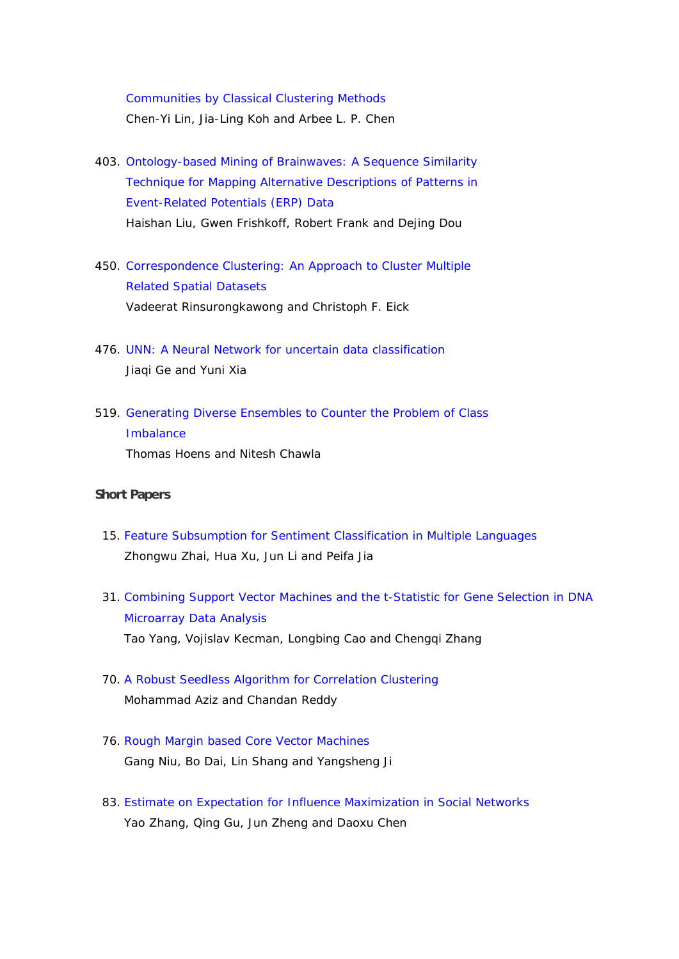Communities by Classical Clustering Methods Chen-Yi Lin, Jia-Ling Koh and Arbee L. P. Chen

- 403. Ontology-based Mining of Brainwaves: A Sequence Similarity Technique for Mapping Alternative Descriptions of Patterns in Event-Related Potentials (ERP) Data Haishan Liu, Gwen Frishkoff, Robert Frank and Dejing Dou
- 450. Correspondence Clustering: An Approach to Cluster Multiple Related Spatial Datasets Vadeerat Rinsurongkawong and Christoph F. Eick
- 476. UNN: A Neural Network for uncertain data classification Jiaqi Ge and Yuni Xia
- 519. Generating Diverse Ensembles to Counter the Problem of Class Imbalance Thomas Hoens and Nitesh Chawla

### **Short Papers**

- 15. Feature Subsumption for Sentiment Classification in Multiple Languages Zhongwu Zhai, Hua Xu, Jun Li and Peifa Jia
- 31. Combining Support Vector Machines and the t-Statistic for Gene Selection in DNA Microarray Data Analysis Tao Yang, Vojislav Kecman, Longbing Cao and Chengqi Zhang
- 70. A Robust Seedless Algorithm for Correlation Clustering Mohammad Aziz and Chandan Reddy
- 76. Rough Margin based Core Vector Machines Gang Niu, Bo Dai, Lin Shang and Yangsheng Ji
- 83. Estimate on Expectation for Influence Maximization in Social Networks Yao Zhang, Qing Gu, Jun Zheng and Daoxu Chen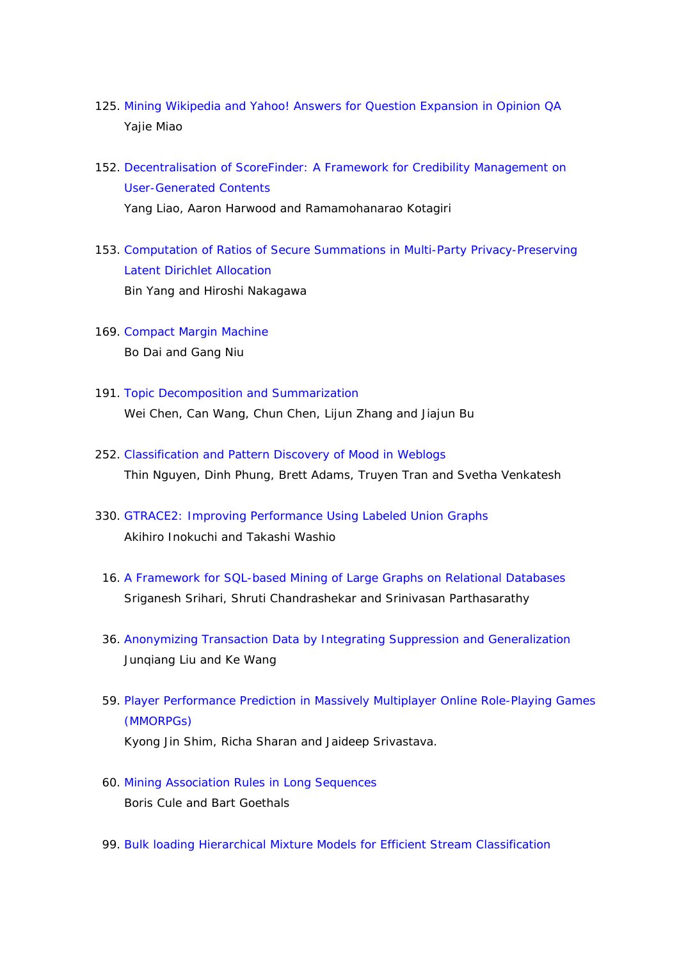- 125. Mining Wikipedia and Yahoo! Answers for Question Expansion in Opinion QA Yajie Miao
- 152. Decentralisation of ScoreFinder: A Framework for Credibility Management on User-Generated Contents Yang Liao, Aaron Harwood and Ramamohanarao Kotagiri
- 153. Computation of Ratios of Secure Summations in Multi-Party Privacy-Preserving Latent Dirichlet Allocation Bin Yang and Hiroshi Nakagawa
- 169. Compact Margin Machine Bo Dai and Gang Niu
- 191. Topic Decomposition and Summarization Wei Chen, Can Wang, Chun Chen, Lijun Zhang and Jiajun Bu
- 252. Classification and Pattern Discovery of Mood in Weblogs Thin Nguyen, Dinh Phung, Brett Adams, Truyen Tran and Svetha Venkatesh
- 330. GTRACE2: Improving Performance Using Labeled Union Graphs Akihiro Inokuchi and Takashi Washio
	- 16. A Framework for SQL-based Mining of Large Graphs on Relational Databases Sriganesh Srihari, Shruti Chandrashekar and Srinivasan Parthasarathy
- 36. Anonymizing Transaction Data by Integrating Suppression and Generalization Junqiang Liu and Ke Wang
- 59. Player Performance Prediction in Massively Multiplayer Online Role-Playing Games (MMORPGs) Kyong Jin Shim, Richa Sharan and Jaideep Srivastava.
- 60. Mining Association Rules in Long Sequences Boris Cule and Bart Goethals
- 99. Bulk loading Hierarchical Mixture Models for Efficient Stream Classification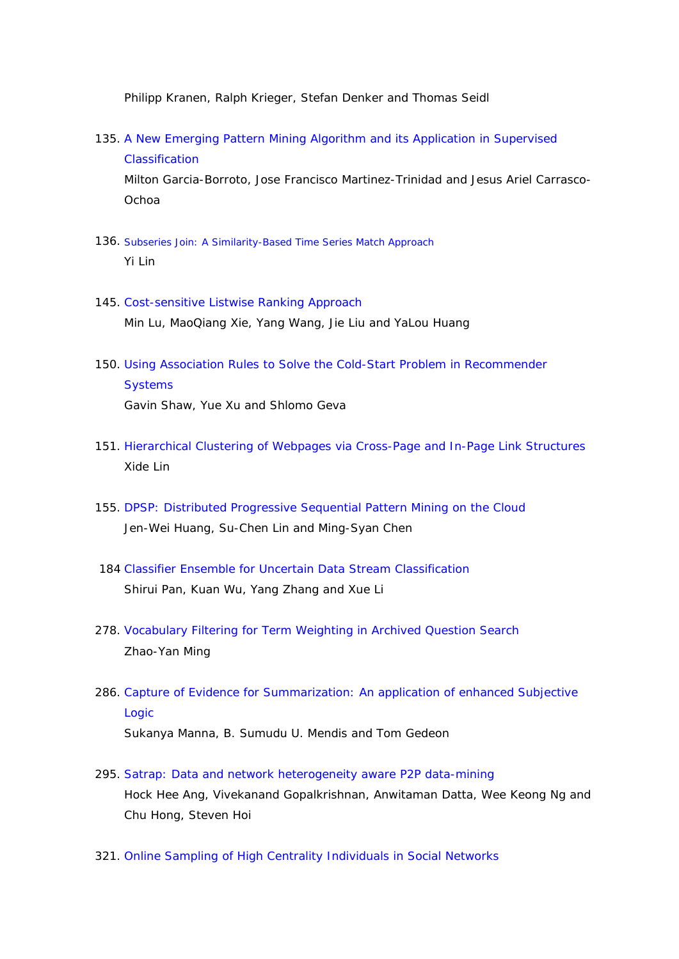Philipp Kranen, Ralph Krieger, Stefan Denker and Thomas Seidl

- 135. A New Emerging Pattern Mining Algorithm and its Application in Supervised Classification Milton Garcia-Borroto, Jose Francisco Martinez-Trinidad and Jesus Ariel Carrasco-Ochoa
- 136. Subseries Join: A Similarity-Based Time Series Match Approach Yi Lin
- 145. Cost-sensitive Listwise Ranking Approach Min Lu, MaoQiang Xie, Yang Wang, Jie Liu and YaLou Huang
- 150. Using Association Rules to Solve the Cold-Start Problem in Recommender **Systems** Gavin Shaw, Yue Xu and Shlomo Geva
- 151. Hierarchical Clustering of Webpages via Cross-Page and In-Page Link Structures Xide Lin
- 155. DPSP: Distributed Progressive Sequential Pattern Mining on the Cloud Jen-Wei Huang, Su-Chen Lin and Ming-Syan Chen
- 184 Classifier Ensemble for Uncertain Data Stream Classification Shirui Pan, Kuan Wu, Yang Zhang and Xue Li
- 278. Vocabulary Filtering for Term Weighting in Archived Question Search Zhao-Yan Ming
- 286. Capture of Evidence for Summarization: An application of enhanced Subjective Logic Sukanya Manna, B. Sumudu U. Mendis and Tom Gedeon
- 295. Satrap: Data and network heterogeneity aware P2P data-mining Hock Hee Ang, Vivekanand Gopalkrishnan, Anwitaman Datta, Wee Keong Ng and Chu Hong, Steven Hoi
- 321. Online Sampling of High Centrality Individuals in Social Networks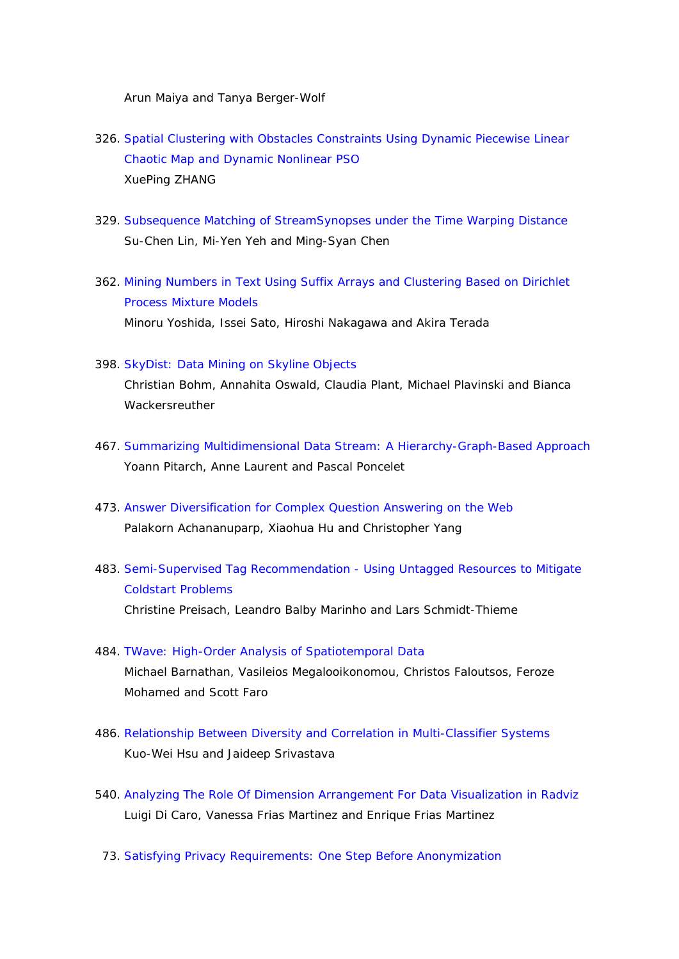Arun Maiya and Tanya Berger-Wolf

- 326. Spatial Clustering with Obstacles Constraints Using Dynamic Piecewise Linear Chaotic Map and Dynamic Nonlinear PSO XuePing ZHANG
- 329. Subsequence Matching of StreamSynopses under the Time Warping Distance Su-Chen Lin, Mi-Yen Yeh and Ming-Syan Chen
- 362. Mining Numbers in Text Using Suffix Arrays and Clustering Based on Dirichlet Process Mixture Models Minoru Yoshida, Issei Sato, Hiroshi Nakagawa and Akira Terada
- 398. SkyDist: Data Mining on Skyline Objects

Christian Bohm, Annahita Oswald, Claudia Plant, Michael Plavinski and Bianca Wackersreuther

- 467. Summarizing Multidimensional Data Stream: A Hierarchy-Graph-Based Approach Yoann Pitarch, Anne Laurent and Pascal Poncelet
- 473. Answer Diversification for Complex Question Answering on the Web Palakorn Achananuparp, Xiaohua Hu and Christopher Yang
- 483. Semi-Supervised Tag Recommendation Using Untagged Resources to Mitigate Coldstart Problems Christine Preisach, Leandro Balby Marinho and Lars Schmidt-Thieme
- 484. TWave: High-Order Analysis of Spatiotemporal Data Michael Barnathan, Vasileios Megalooikonomou, Christos Faloutsos, Feroze Mohamed and Scott Faro
- 486. Relationship Between Diversity and Correlation in Multi-Classifier Systems Kuo-Wei Hsu and Jaideep Srivastava
- 540. Analyzing The Role Of Dimension Arrangement For Data Visualization in Radviz Luigi Di Caro, Vanessa Frias Martinez and Enrique Frias Martinez
- 73. Satisfying Privacy Requirements: One Step Before Anonymization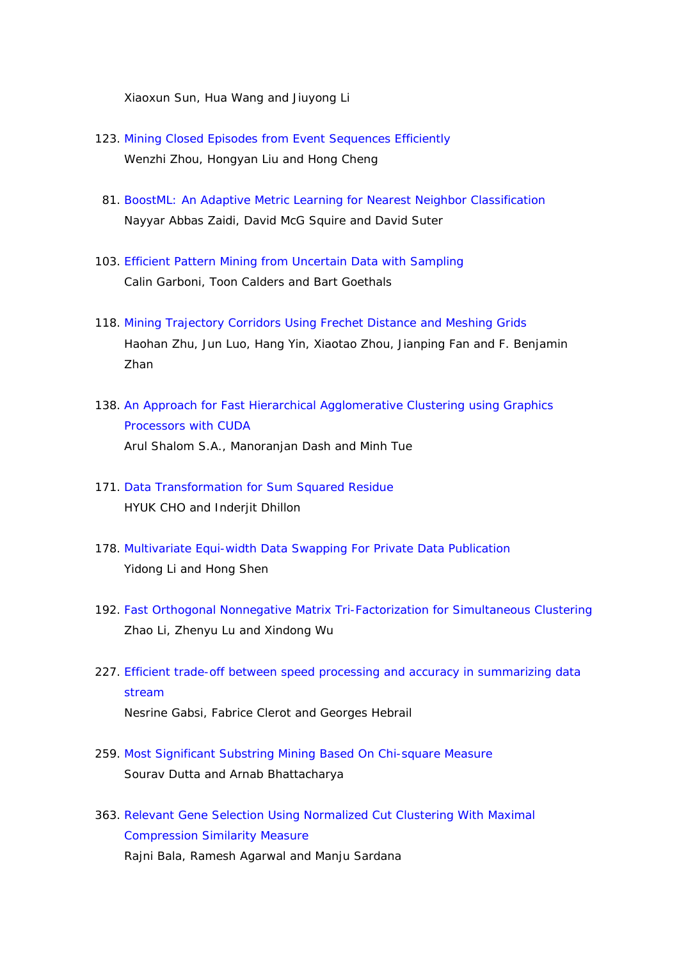Xiaoxun Sun, Hua Wang and Jiuyong Li

- 123. Mining Closed Episodes from Event Sequences Efficiently Wenzhi Zhou, Hongyan Liu and Hong Cheng
- 81. BoostML: An Adaptive Metric Learning for Nearest Neighbor Classification Nayyar Abbas Zaidi, David McG Squire and David Suter
- 103. Efficient Pattern Mining from Uncertain Data with Sampling Calin Garboni, Toon Calders and Bart Goethals
- 118. Mining Trajectory Corridors Using Frechet Distance and Meshing Grids Haohan Zhu, Jun Luo, Hang Yin, Xiaotao Zhou, Jianping Fan and F. Benjamin Zhan
- 138. An Approach for Fast Hierarchical Agglomerative Clustering using Graphics Processors with CUDA Arul Shalom S.A., Manoranjan Dash and Minh Tue
- 171. Data Transformation for Sum Squared Residue HYUK CHO and Inderiit Dhillon
- 178. Multivariate Equi-width Data Swapping For Private Data Publication Yidong Li and Hong Shen
- 192. Fast Orthogonal Nonnegative Matrix Tri-Factorization for Simultaneous Clustering Zhao Li, Zhenyu Lu and Xindong Wu
- 227. Efficient trade-off between speed processing and accuracy in summarizing data stream

Nesrine Gabsi, Fabrice Clerot and Georges Hebrail

- 259. Most Significant Substring Mining Based On Chi-square Measure Sourav Dutta and Arnab Bhattacharya
- 363. Relevant Gene Selection Using Normalized Cut Clustering With Maximal Compression Similarity Measure Rajni Bala, Ramesh Agarwal and Manju Sardana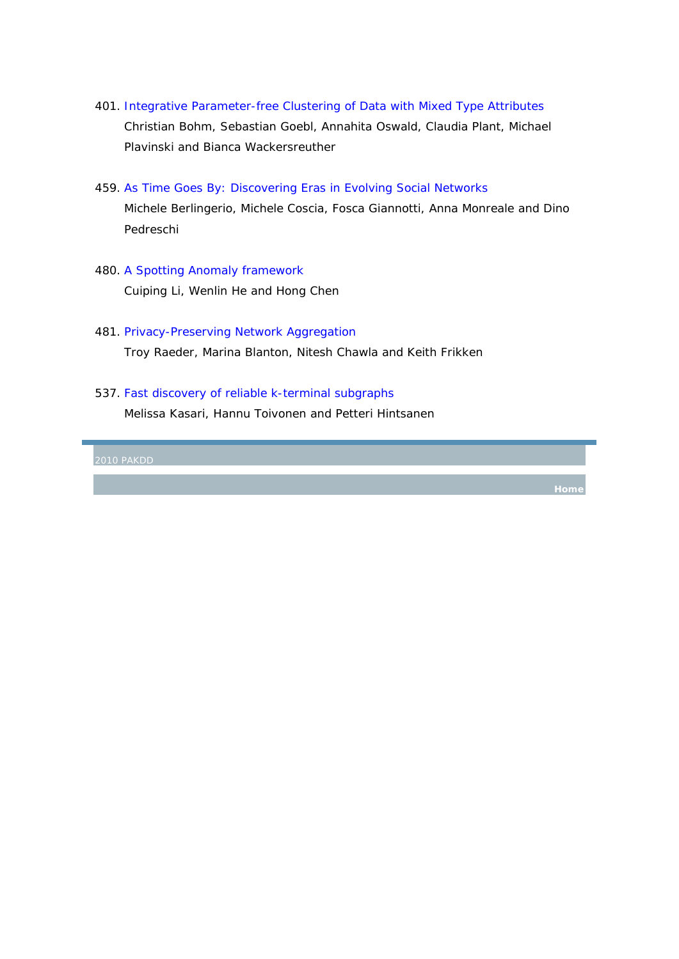- 401. Integrative Parameter-free Clustering of Data with Mixed Type Attributes Christian Bohm, Sebastian Goebl, Annahita Oswald, Claudia Plant, Michael Plavinski and Bianca Wackersreuther
- 459. As Time Goes By: Discovering Eras in Evolving Social Networks

Michele Berlingerio, Michele Coscia, Fosca Giannotti, Anna Monreale and Dino Pedreschi

- 480. A Spotting Anomaly framework Cuiping Li, Wenlin He and Hong Chen
- 481. Privacy-Preserving Network Aggregation Troy Raeder, Marina Blanton, Nitesh Chawla and Keith Frikken
- 537. Fast discovery of reliable k-terminal subgraphs

Melissa Kasari, Hannu Toivonen and Petteri Hintsanen

**Home**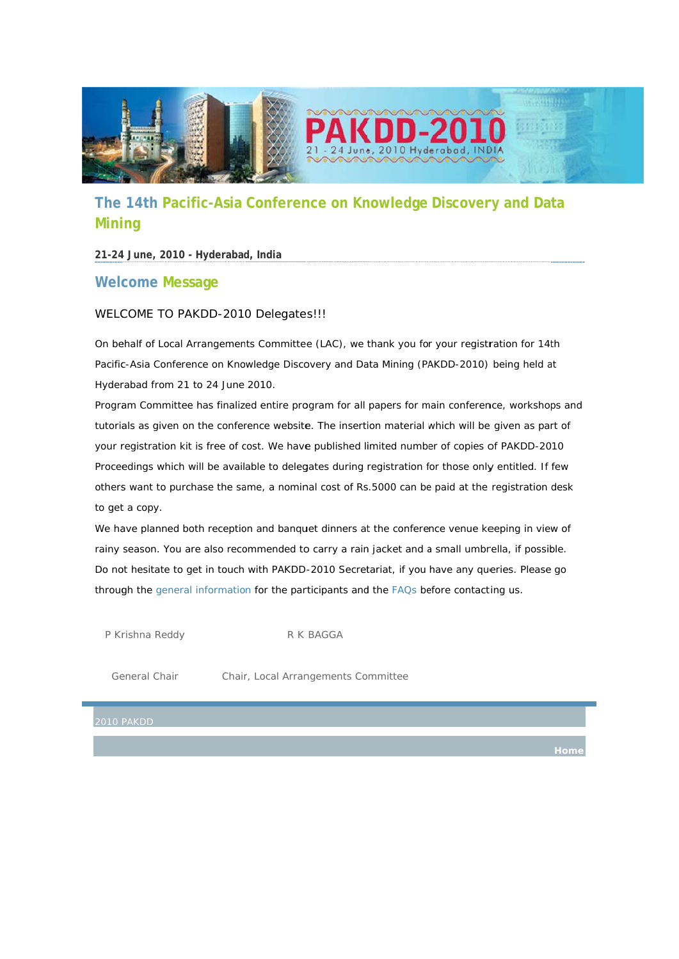

# **The 14th Pacific-Asia Conference on Knowledge Discovery and Data Mining**

## **21-24 4 June, 2010 0 - Hyderabad d, India**

# Welcome Message

### WELCOME TO PAKDD-2010 Delegates!!!

On behalf of Local Arrangements Committee (LAC), we thank you for your registration for 14th Pacific-Asia Conference on Knowledge Discovery and Data Mining (PAKDD-2010) being held at Hyderabad from 21 to 24 June 2010.

Program Committee has finalized entire program for all papers for main conference, workshops and tutorials as given on the conference website. The insertion material which will be given as part of your registration kit is free of cost. We have published limited number of copies of PAKDD-2010 Proceedings which will be available to delegates during registration for those only entitled. If few others want to purchase the same, a nominal cost of Rs.5000 can be paid at the registration desk to get a copy.

We have planned both reception and banquet dinners at the conference venue keeping in view of rainy season. You are also recommended to carry a rain jacket and a small umbrella, if possible. Do not hesitate to get in touch with PAKDD-2010 Secretariat, if you have any queries. Please go through the general information for the participants and the FAQs before contacting us.

P Krishna Reddy

R K BAGGA

Ge eneral Chair

y<br>Chair r, Local Arrangements Committee

**Home**